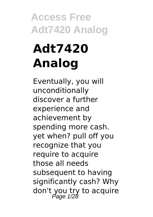# **Adt7420 Analog**

Eventually, you will unconditionally discover a further experience and achievement by spending more cash. yet when? pull off you recognize that you require to acquire those all needs subsequent to having significantly cash? Why don't you try to acquire Page 1/28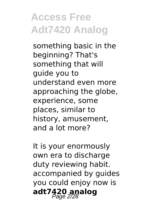something basic in the beginning? That's something that will guide you to understand even more approaching the globe, experience, some places, similar to history, amusement, and a lot more?

It is your enormously own era to discharge duty reviewing habit. accompanied by guides you could enjoy now is adt7420 analog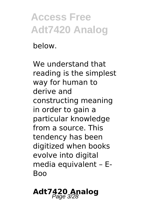below.

We understand that reading is the simplest way for human to derive and constructing meaning in order to gain a particular knowledge from a source. This tendency has been digitized when books evolve into digital media equivalent – E-Boo

#### **Adt7420 Analog**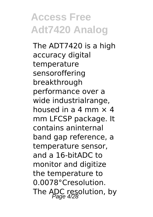The ADT7420 is a high accuracy digital temperature sensoroffering breakthrough performance over a wide industrialrange, housed in a  $4 \text{ mm} \times 4$ mm LFCSP package. It contains aninternal band gap reference, a temperature sensor, and a 16-bitADC to monitor and digitize the temperature to 0.0078°Cresolution. The ADC resolution, by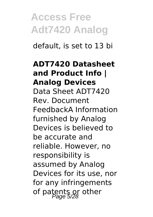default, is set to 13 bi

#### **ADT7420 Datasheet and Product Info | Analog Devices** Data Sheet ADT7420

Rev. Document FeedbackA Information furnished by Analog Devices is believed to be accurate and reliable. However, no responsibility is assumed by Analog Devices for its use, nor for any infringements of patents or other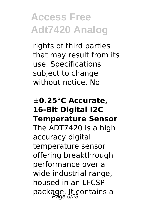rights of third parties that may result from its use. Specifications subject to change without notice. No

#### **±0.25°C Accurate, 16-Bit Digital I2C Temperature Sensor**

The ADT7420 is a high accuracy digital temperature sensor offering breakthrough performance over a wide industrial range, housed in an LFCSP package. It contains a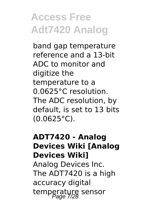band gap temperature reference and a 13-bit ADC to monitor and digitize the temperature to a 0.0625°C resolution. The ADC resolution, by default, is set to 13 bits (0.0625°C).

#### **ADT7420 - Analog Devices Wiki [Analog Devices Wiki]** Analog Devices Inc. The ADT7420 is a high accuracy digital temperature sensor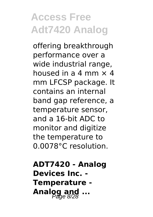offering breakthrough performance over a wide industrial range, housed in a 4 mm  $\times$  4 mm LFCSP package. It contains an internal band gap reference, a temperature sensor, and a 16-bit ADC to monitor and digitize the temperature to 0.0078°C resolution.

**ADT7420 - Analog Devices Inc. - Temperature -** Analog and ...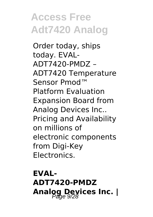Order today, ships today. EVAL-ADT7420-PMDZ – ADT7420 Temperature Sensor Pmod™ Platform Evaluation Expansion Board from Analog Devices Inc.. Pricing and Availability on millions of electronic components from Digi-Key Electronics.

**EVAL-ADT7420-PMDZ** Analog Devices Inc. |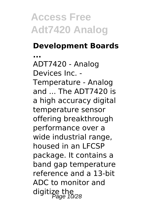#### **Development Boards**

**...** ADT7420 - Analog Devices Inc. - Temperature - Analog and ... The ADT7420 is a high accuracy digital temperature sensor offering breakthrough performance over a wide industrial range, housed in an LFCSP package. It contains a band gap temperature reference and a 13-bit ADC to monitor and digitize the<br>Page 10/28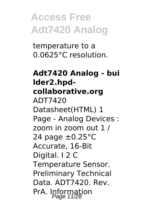temperature to a 0.0625°C resolution.

#### **Adt7420 Analog - bui lder2.hpdcollaborative.org** ADT7420 Datasheet(HTML) 1 Page - Analog Devices : zoom in zoom out 1 / 24 page  $\pm$ 0.25 $\degree$ C Accurate, 16-Bit Digital. I 2 C Temperature Sensor. Preliminary Technical Data. ADT7420. Rev. PrA. Information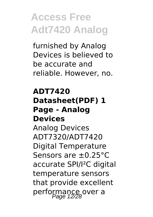furnished by Analog Devices is believed to be accurate and reliable. However, no.

#### **ADT7420 Datasheet(PDF) 1 Page - Analog Devices**

Analog Devices ADT7320/ADT7420 Digital Temperature Sensors are ±0.25°C accurate SPI/I²C digital temperature sensors that provide excellent performance over a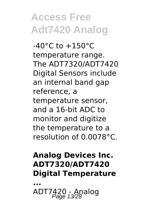$-40^{\circ}$ C to  $+150^{\circ}$ C temperature range. The ADT7320/ADT7420 Digital Sensors include an internal band gap reference, a temperature sensor, and a 16-bit ADC to monitor and digitize the temperature to a resolution of 0.0078°C.

#### **Analog Devices Inc. ADT7320/ADT7420 Digital Temperature**

**...** ADT7420 - Analog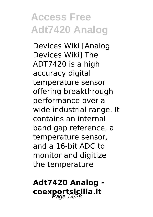Devices Wiki [Analog Devices Wiki] The ADT7420 is a high accuracy digital temperature sensor offering breakthrough performance over a wide industrial range. It contains an internal band gap reference, a temperature sensor, and a 16-bit ADC to monitor and digitize the temperature

#### **Adt7420 Analog**  coexportsicilia.it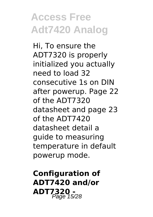Hi, To ensure the ADT7320 is properly initialized you actually need to load 32 consecutive 1s on DIN after powerup. Page 22 of the ADT7320 datasheet and page 23 of the ADT7420 datasheet detail a guide to measuring temperature in default powerup mode.

**Configuration of ADT7420 and/or ADT7320 -** Page 15/28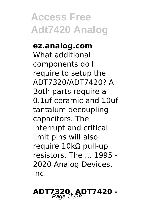**ez.analog.com** What additional components do I require to setup the ADT7320/ADT7420? A Both parts require a 0.1uf ceramic and 10uf tantalum decoupling capacitors. The interrupt and critical limit pins will also require 10kΩ pull-up resistors. The ... 1995 - 2020 Analog Devices, Inc.

# **ADT7320, ADT7420 -**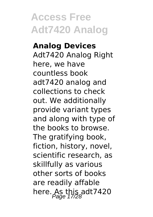#### **Analog Devices** Adt7420 Analog Right here, we have countless book adt7420 analog and collections to check out. We additionally provide variant types and along with type of the books to browse. The gratifying book. fiction, history, novel, scientific research, as skillfully as various other sorts of books are readily affable here. As this adt  $7420$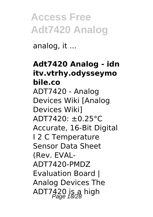analog, it ...

#### **Adt7420 Analog - idn itv.vtrhy.odysseymo bile.co** ADT7420 - Analog Devices Wiki [Analog Devices Wiki] ADT7420: ±0.25°C Accurate, 16-Bit Digital I 2 C Temperature Sensor Data Sheet (Rev. EVAL-ADT7420-PMDZ Evaluation Board | Analog Devices The ADT7 $420$  is a high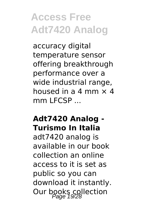accuracy digital temperature sensor offering breakthrough performance over a wide industrial range, housed in a 4 mm  $\times$  4 mm LFCSP ...

#### **Adt7420 Analog - Turismo In Italia**

adt7420 analog is available in our book collection an online access to it is set as public so you can download it instantly. Our books collection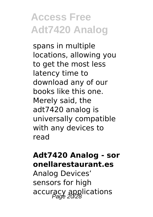spans in multiple locations, allowing you to get the most less latency time to download any of our books like this one. Merely said, the adt7420 analog is universally compatible with any devices to read

#### **Adt7420 Analog - sor onellarestaurant.es**

Analog Devices' sensors for high accuracy applications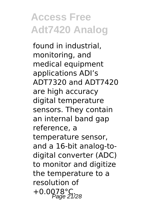found in industrial, monitoring, and medical equipment applications ADI's ADT7320 and ADT7420 are high accuracy digital temperature sensors. They contain an internal band gap reference, a temperature sensor, and a 16-bit analog-todigital converter (ADC) to monitor and digitize the temperature to a resolution of +0.0078°C.<br>Page 21/28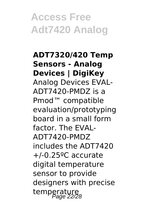**ADT7320/420 Temp Sensors - Analog Devices | DigiKey** Analog Devices EVAL-ADT7420-PMDZ is a Pmod™ compatible evaluation/prototyping board in a small form factor. The EVAL-ADT7420-PMDZ includes the ADT7420 +/-0.25ºC accurate digital temperature sensor to provide designers with precise temperature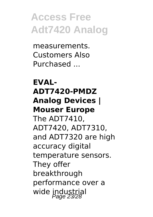measurements. Customers Also Purchased ...

#### **EVAL-ADT7420-PMDZ Analog Devices | Mouser Europe**

The ADT7410, ADT7420, ADT7310, and ADT7320 are high accuracy digital temperature sensors. They offer breakthrough performance over a wide industrial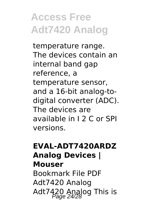temperature range. The devices contain an internal band gap reference, a temperature sensor, and a 16-bit analog-todigital converter (ADC). The devices are available in I 2 C or SPI versions.

#### **EVAL-ADT7420ARDZ Analog Devices | Mouser**

Bookmark File PDF Adt7420 Analog Adt7420 Analog This is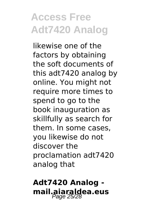likewise one of the factors by obtaining the soft documents of this adt7420 analog by online. You might not require more times to spend to go to the book inauguration as skillfully as search for them. In some cases, you likewise do not discover the proclamation adt7420 analog that

#### **Adt7420 Analog mail.aiaraldea.eus** Page 25/28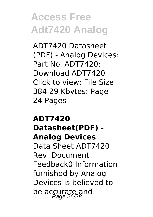ADT7420 Datasheet (PDF) - Analog Devices: Part No. ADT7420: Download ADT7420 Click to view: File Size 384.29 Kbytes: Page 24 Pages

**ADT7420 Datasheet(PDF) - Analog Devices** Data Sheet ADT7420 Rev. Document Feedback0 Information furnished by Analog Devices is believed to be accurate and<br>Page 26/28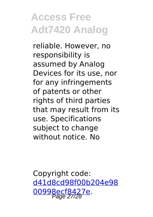reliable. However, no responsibility is assumed by Analog Devices for its use, nor for any infringements of patents or other rights of third parties that may result from its use. Specifications subject to change without notice. No

Copyright code: [d41d8cd98f00b204e98](/sitemap.xml) [00998ecf8427e.](/sitemap.xml) Page 27/28